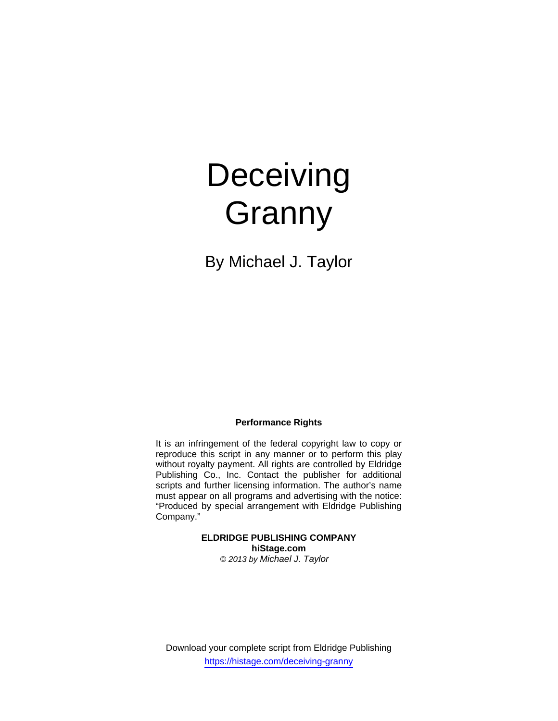# **Deceiving Granny**

By Michael J. Taylor

## **Performance Rights**

It is an infringement of the federal copyright law to copy or reproduce this script in any manner or to perform this play without royalty payment. All rights are controlled by Eldridge Publishing Co., Inc. Contact the publisher for additional scripts and further licensing information. The author's name must appear on all programs and advertising with the notice: "Produced by special arrangement with Eldridge Publishing Company."

> **ELDRIDGE PUBLISHING COMPANY hiStage.com**  *© 2013 by Michael J. Taylor*

Download your complete script from Eldridge Publishing https://histage.com/deceiving-granny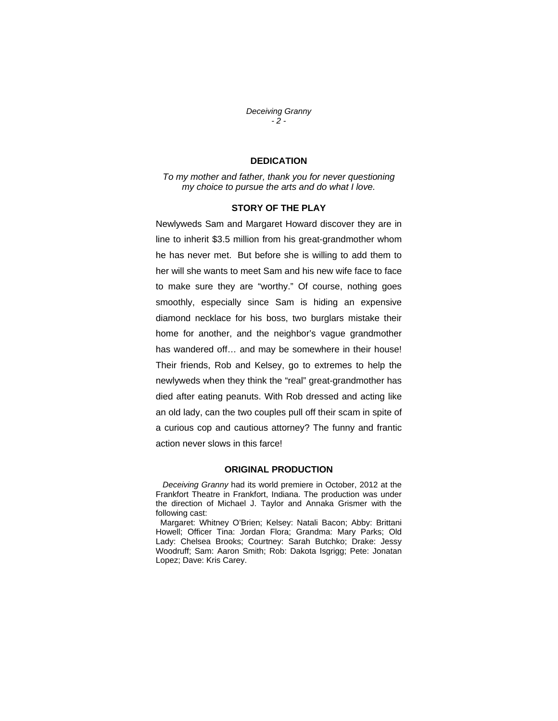#### *Deceiving Granny - 2 -*

# **DEDICATION**

*To my mother and father, thank you for never questioning my choice to pursue the arts and do what I love.* 

## **STORY OF THE PLAY**

Newlyweds Sam and Margaret Howard discover they are in line to inherit \$3.5 million from his great-grandmother whom he has never met. But before she is willing to add them to her will she wants to meet Sam and his new wife face to face to make sure they are "worthy." Of course, nothing goes smoothly, especially since Sam is hiding an expensive diamond necklace for his boss, two burglars mistake their home for another, and the neighbor's vague grandmother has wandered off… and may be somewhere in their house! Their friends, Rob and Kelsey, go to extremes to help the newlyweds when they think the "real" great-grandmother has died after eating peanuts. With Rob dressed and acting like an old lady, can the two couples pull off their scam in spite of a curious cop and cautious attorney? The funny and frantic action never slows in this farce!

#### **ORIGINAL PRODUCTION**

 *Deceiving Granny* had its world premiere in October, 2012 at the Frankfort Theatre in Frankfort, Indiana. The production was under the direction of Michael J. Taylor and Annaka Grismer with the following cast:

 Margaret: Whitney O'Brien; Kelsey: Natali Bacon; Abby: Brittani Howell; Officer Tina: Jordan Flora; Grandma: Mary Parks; Old Lady: Chelsea Brooks; Courtney: Sarah Butchko; Drake: Jessy Woodruff; Sam: Aaron Smith; Rob: Dakota Isgrigg; Pete: Jonatan Lopez; Dave: Kris Carey.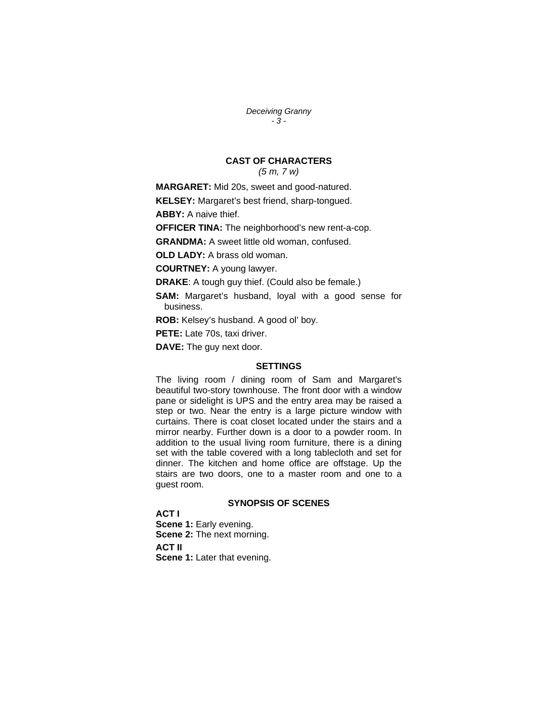*Deceiving Granny - 3 -* 

# **CAST OF CHARACTERS**

*(5 m, 7 w)* 

**MARGARET:** Mid 20s, sweet and good-natured.

**KELSEY:** Margaret's best friend, sharp-tongued.

**ABBY:** A naive thief.

**OFFICER TINA:** The neighborhood's new rent-a-cop.

**GRANDMA:** A sweet little old woman, confused.

**OLD LADY:** A brass old woman.

**COURTNEY:** A young lawyer.

**DRAKE**: A tough guy thief. (Could also be female.)

- **SAM:** Margaret's husband, loyal with a good sense for business.
- **ROB:** Kelsey's husband. A good ol' boy.

**PETE:** Late 70s, taxi driver.

**DAVE:** The guy next door.

## **SETTINGS**

The living room / dining room of Sam and Margaret's beautiful two-story townhouse. The front door with a window pane or sidelight is UPS and the entry area may be raised a step or two. Near the entry is a large picture window with curtains. There is coat closet located under the stairs and a mirror nearby. Further down is a door to a powder room. In addition to the usual living room furniture, there is a dining set with the table covered with a long tablecloth and set for dinner. The kitchen and home office are offstage. Up the stairs are two doors, one to a master room and one to a guest room.

## **SYNOPSIS OF SCENES**

**ACT I Scene 1: Early evening. Scene 2:** The next morning. **ACT II Scene 1:** Later that evening.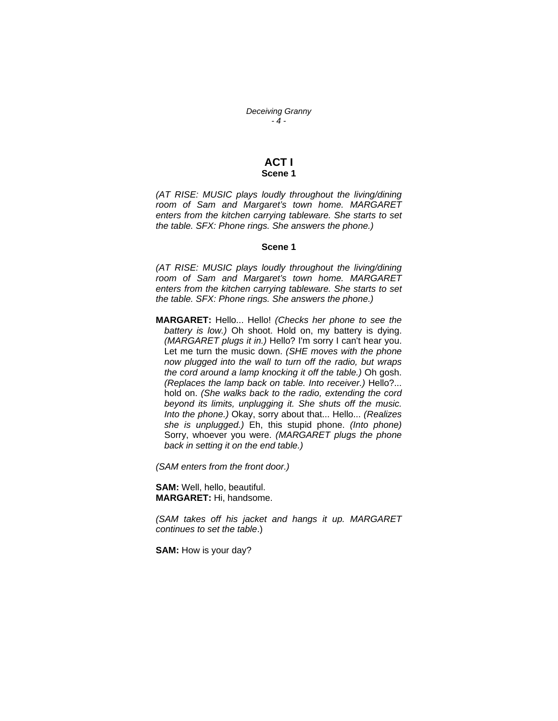*Deceiving Granny - 4 -* 

## **ACT I Scene 1**

*(AT RISE: MUSIC plays loudly throughout the living/dining room of Sam and Margaret's town home. MARGARET enters from the kitchen carrying tableware. She starts to set the table. SFX: Phone rings. She answers the phone.)* 

## **Scene 1**

*(AT RISE: MUSIC plays loudly throughout the living/dining room of Sam and Margaret's town home. MARGARET enters from the kitchen carrying tableware. She starts to set the table. SFX: Phone rings. She answers the phone.)* 

**MARGARET:** Hello... Hello! *(Checks her phone to see the battery is low.)* Oh shoot. Hold on, my battery is dying. *(MARGARET plugs it in.)* Hello? I'm sorry I can't hear you. Let me turn the music down. *(SHE moves with the phone now plugged into the wall to turn off the radio, but wraps the cord around a lamp knocking it off the table.)* Oh gosh. *(Replaces the lamp back on table. Into receiver.)* Hello?... hold on. *(She walks back to the radio, extending the cord beyond its limits, unplugging it. She shuts off the music. Into the phone.)* Okay, sorry about that... Hello... *(Realizes she is unplugged.)* Eh, this stupid phone. *(Into phone)* Sorry, whoever you were. *(MARGARET plugs the phone back in setting it on the end table.)* 

*(SAM enters from the front door.)* 

**SAM:** Well, hello, beautiful. **MARGARET:** Hi, handsome.

*(SAM takes off his jacket and hangs it up. MARGARET continues to set the table*.)

**SAM:** How is your day?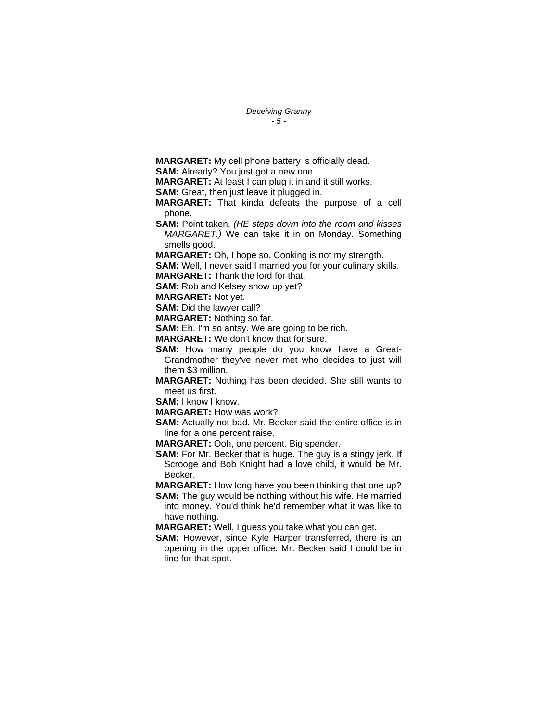*Deceiving Granny - 5 -* 

**MARGARET:** My cell phone battery is officially dead.

**SAM:** Already? You just got a new one.

**MARGARET:** At least I can plug it in and it still works.

**SAM:** Great, then just leave it plugged in.

**MARGARET:** That kinda defeats the purpose of a cell phone.

**SAM:** Point taken. *(HE steps down into the room and kisses MARGARET.)* We can take it in on Monday. Something smells good.

**MARGARET:** Oh, I hope so. Cooking is not my strength.

**SAM:** Well, I never said I married you for your culinary skills. **MARGARET:** Thank the lord for that.

**SAM:** Rob and Kelsey show up yet?

**MARGARET:** Not yet.

**SAM:** Did the lawyer call?

**MARGARET:** Nothing so far.

**SAM:** Eh. I'm so antsy. We are going to be rich.

**MARGARET:** We don't know that for sure.

**SAM:** How many people do you know have a Great-Grandmother they've never met who decides to just will them \$3 million.

**MARGARET:** Nothing has been decided. She still wants to meet us first.

**SAM:** I know I know.

**MARGARET:** How was work?

**SAM:** Actually not bad. Mr. Becker said the entire office is in line for a one percent raise.

**MARGARET:** Ooh, one percent. Big spender.

**SAM:** For Mr. Becker that is huge. The guy is a stingy jerk. If Scrooge and Bob Knight had a love child, it would be Mr. Becker.

**MARGARET:** How long have you been thinking that one up? **SAM:** The guy would be nothing without his wife. He married

into money. You'd think he'd remember what it was like to have nothing.

**MARGARET:** Well, I guess you take what you can get.

**SAM:** However, since Kyle Harper transferred, there is an opening in the upper office. Mr. Becker said I could be in line for that spot.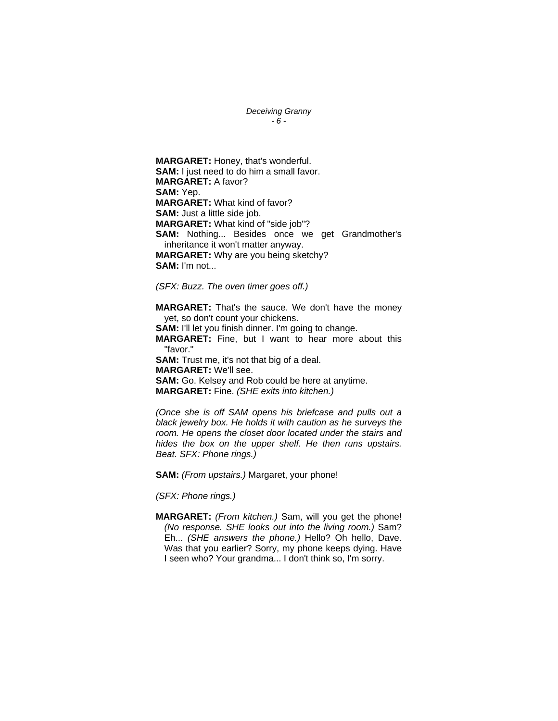*Deceiving Granny - 6 -* 

**MARGARET:** Honey, that's wonderful. **SAM:** I just need to do him a small favor. **MARGARET:** A favor? **SAM:** Yep. **MARGARET:** What kind of favor? **SAM:** Just a little side job. **MARGARET:** What kind of "side job"? **SAM:** Nothing... Besides once we get Grandmother's inheritance it won't matter anyway. **MARGARET:** Why are you being sketchy? **SAM:** I'm not...

*(SFX: Buzz. The oven timer goes off.)* 

**MARGARET:** That's the sauce. We don't have the money yet, so don't count your chickens.

**SAM:** I'll let you finish dinner. I'm going to change. **MARGARET:** Fine, but I want to hear more about this "favor." **SAM:** Trust me, it's not that big of a deal. **MARGARET:** We'll see. **SAM:** Go. Kelsey and Rob could be here at anytime. **MARGARET:** Fine. *(SHE exits into kitchen.)* 

*(Once she is off SAM opens his briefcase and pulls out a black jewelry box. He holds it with caution as he surveys the room. He opens the closet door located under the stairs and hides the box on the upper shelf. He then runs upstairs. Beat. SFX: Phone rings.)* 

**SAM:** *(From upstairs.)* Margaret, your phone!

*(SFX: Phone rings.)* 

**MARGARET:** *(From kitchen.)* Sam, will you get the phone! *(No response. SHE looks out into the living room.)* Sam? Eh... *(SHE answers the phone.)* Hello? Oh hello, Dave. Was that you earlier? Sorry, my phone keeps dying. Have I seen who? Your grandma... I don't think so, I'm sorry.